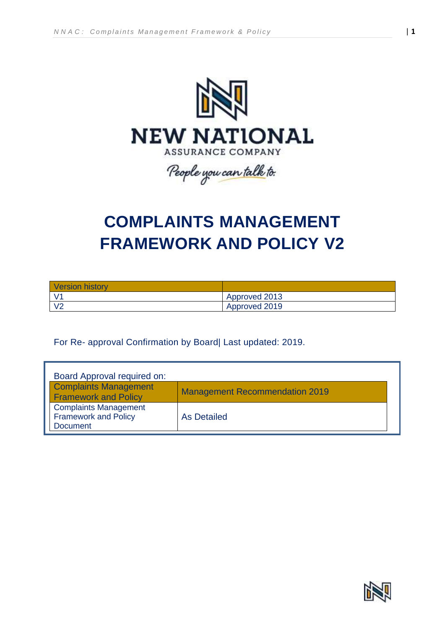

# **COMPLAINTS MANAGEMENT FRAMEWORK AND POLICY V2**

| <b>Version history</b> |               |
|------------------------|---------------|
|                        | Approved 2013 |
| V <sub>2</sub>         | Approved 2019 |

For Re- approval Confirmation by Board| Last updated: 2019.

| Board Approval required on:                                                    |                                       |
|--------------------------------------------------------------------------------|---------------------------------------|
| <b>Complaints Management</b><br><b>Framework and Policy</b>                    | <b>Management Recommendation 2019</b> |
| <b>Complaints Management</b><br><b>Framework and Policy</b><br><b>Document</b> | As Detailed                           |

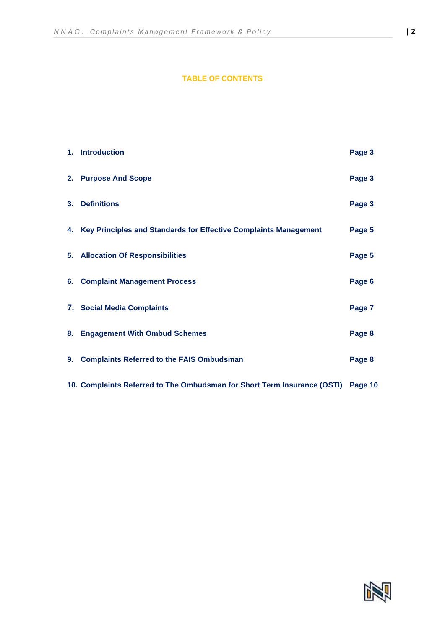## **TABLE OF CONTENTS**

|                | 1. Introduction                                                                  | Page 3 |
|----------------|----------------------------------------------------------------------------------|--------|
|                | 2. Purpose And Scope                                                             | Page 3 |
| 3 <sub>1</sub> | <b>Definitions</b>                                                               | Page 3 |
|                | 4. Key Principles and Standards for Effective Complaints Management              | Page 5 |
|                | 5. Allocation Of Responsibilities                                                | Page 5 |
|                | 6. Complaint Management Process                                                  | Page 6 |
|                | 7. Social Media Complaints                                                       | Page 7 |
| 8.             | <b>Engagement With Ombud Schemes</b>                                             | Page 8 |
| 9.             | <b>Complaints Referred to the FAIS Ombudsman</b>                                 | Page 8 |
|                | 10. Complaints Referred to The Ombudsman for Short Term Insurance (OSTI) Page 10 |        |

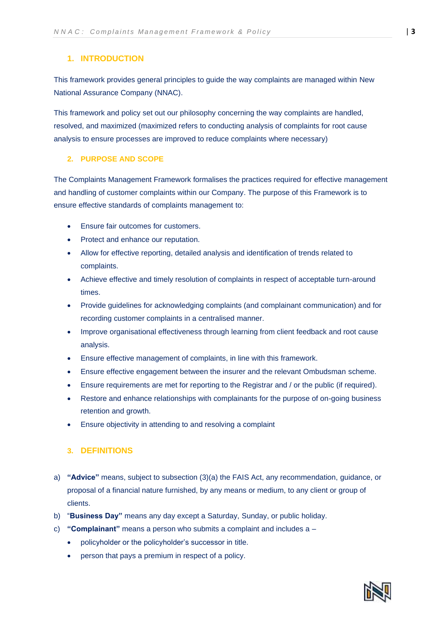## **1. INTRODUCTION**

This framework provides general principles to guide the way complaints are managed within New National Assurance Company (NNAC).

This framework and policy set out our philosophy concerning the way complaints are handled, resolved, and maximized (maximized refers to conducting analysis of complaints for root cause analysis to ensure processes are improved to reduce complaints where necessary)

## **2. PURPOSE AND SCOPE**

The Complaints Management Framework formalises the practices required for effective management and handling of customer complaints within our Company. The purpose of this Framework is to ensure effective standards of complaints management to:

- Ensure fair outcomes for customers.
- Protect and enhance our reputation.
- Allow for effective reporting, detailed analysis and identification of trends related to complaints.
- Achieve effective and timely resolution of complaints in respect of acceptable turn-around times.
- Provide guidelines for acknowledging complaints (and complainant communication) and for recording customer complaints in a centralised manner.
- Improve organisational effectiveness through learning from client feedback and root cause analysis.
- Ensure effective management of complaints, in line with this framework.
- Ensure effective engagement between the insurer and the relevant Ombudsman scheme.
- Ensure requirements are met for reporting to the Registrar and / or the public (if required).
- Restore and enhance relationships with complainants for the purpose of on-going business retention and growth.
- Ensure objectivity in attending to and resolving a complaint

## **3. DEFINITIONS**

- a) **"Advice"** means, subject to subsection (3)(a) the FAIS Act, any recommendation, guidance, or proposal of a financial nature furnished, by any means or medium, to any client or group of clients.
- b) "**Business Day"** means any day except a Saturday, Sunday, or public holiday.
- c) **"Complainant"** means a person who submits a complaint and includes a
	- policyholder or the policyholder's successor in title.
	- person that pays a premium in respect of a policy.

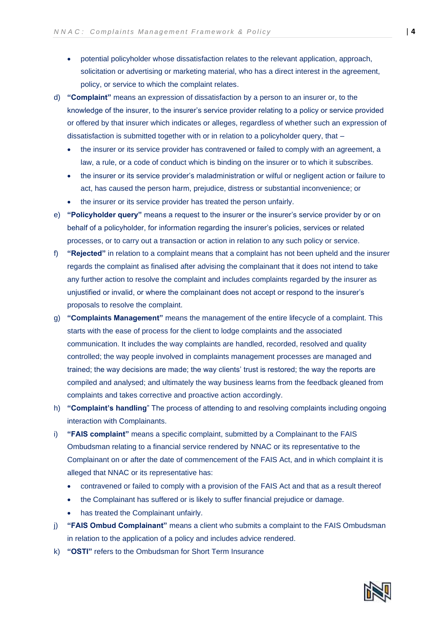- potential policyholder whose dissatisfaction relates to the relevant application, approach, solicitation or advertising or marketing material, who has a direct interest in the agreement, policy, or service to which the complaint relates.
- d) **"Complaint"** means an expression of dissatisfaction by a person to an insurer or, to the knowledge of the insurer, to the insurer's service provider relating to a policy or service provided or offered by that insurer which indicates or alleges, regardless of whether such an expression of dissatisfaction is submitted together with or in relation to a policyholder query, that –
	- the insurer or its service provider has contravened or failed to comply with an agreement, a law, a rule, or a code of conduct which is binding on the insurer or to which it subscribes.
	- the insurer or its service provider's maladministration or wilful or negligent action or failure to act, has caused the person harm, prejudice, distress or substantial inconvenience; or
	- the insurer or its service provider has treated the person unfairly.
- e) **"Policyholder query"** means a request to the insurer or the insurer's service provider by or on behalf of a policyholder, for information regarding the insurer's policies, services or related processes, or to carry out a transaction or action in relation to any such policy or service.
- f) **"Rejected"** in relation to a complaint means that a complaint has not been upheld and the insurer regards the complaint as finalised after advising the complainant that it does not intend to take any further action to resolve the complaint and includes complaints regarded by the insurer as unjustified or invalid, or where the complainant does not accept or respond to the insurer's proposals to resolve the complaint.
- g) **"Complaints Management"** means the management of the entire lifecycle of a complaint. This starts with the ease of process for the client to lodge complaints and the associated communication. It includes the way complaints are handled, recorded, resolved and quality controlled; the way people involved in complaints management processes are managed and trained; the way decisions are made; the way clients' trust is restored; the way the reports are compiled and analysed; and ultimately the way business learns from the feedback gleaned from complaints and takes corrective and proactive action accordingly.
- h) **"Complaint's handling**" The process of attending to and resolving complaints including ongoing interaction with Complainants.
- i) **"FAIS complaint"** means a specific complaint, submitted by a Complainant to the FAIS Ombudsman relating to a financial service rendered by NNAC or its representative to the Complainant on or after the date of commencement of the FAIS Act, and in which complaint it is alleged that NNAC or its representative has:
	- contravened or failed to comply with a provision of the FAIS Act and that as a result thereof
	- the Complainant has suffered or is likely to suffer financial prejudice or damage.
	- has treated the Complainant unfairly.
- j) **"FAIS Ombud Complainant"** means a client who submits a complaint to the FAIS Ombudsman in relation to the application of a policy and includes advice rendered.
- k) **"OSTI"** refers to the Ombudsman for Short Term Insurance

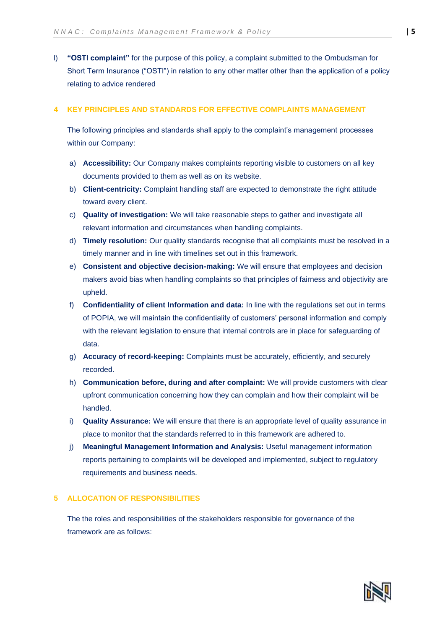l) **"OSTI complaint"** for the purpose of this policy, a complaint submitted to the Ombudsman for Short Term Insurance ("OSTI") in relation to any other matter other than the application of a policy relating to advice rendered

#### **4 KEY PRINCIPLES AND STANDARDS FOR EFFECTIVE COMPLAINTS MANAGEMENT**

The following principles and standards shall apply to the complaint's management processes within our Company:

- a) **Accessibility:** Our Company makes complaints reporting visible to customers on all key documents provided to them as well as on its website.
- b) **Client-centricity:** Complaint handling staff are expected to demonstrate the right attitude toward every client.
- c) **Quality of investigation:** We will take reasonable steps to gather and investigate all relevant information and circumstances when handling complaints.
- d) **Timely resolution:** Our quality standards recognise that all complaints must be resolved in a timely manner and in line with timelines set out in this framework.
- e) **Consistent and objective decision-making:** We will ensure that employees and decision makers avoid bias when handling complaints so that principles of fairness and objectivity are upheld.
- f) **Confidentiality of client Information and data:** In line with the regulations set out in terms of POPIA, we will maintain the confidentiality of customers' personal information and comply with the relevant legislation to ensure that internal controls are in place for safeguarding of data.
- g) **Accuracy of record-keeping:** Complaints must be accurately, efficiently, and securely recorded.
- h) **Communication before, during and after complaint:** We will provide customers with clear upfront communication concerning how they can complain and how their complaint will be handled.
- i) **Quality Assurance:** We will ensure that there is an appropriate level of quality assurance in place to monitor that the standards referred to in this framework are adhered to.
- j) **Meaningful Management Information and Analysis:** Useful management information reports pertaining to complaints will be developed and implemented, subject to regulatory requirements and business needs.

## **5 ALLOCATION OF RESPONSIBILITIES**

The the roles and responsibilities of the stakeholders responsible for governance of the framework are as follows:

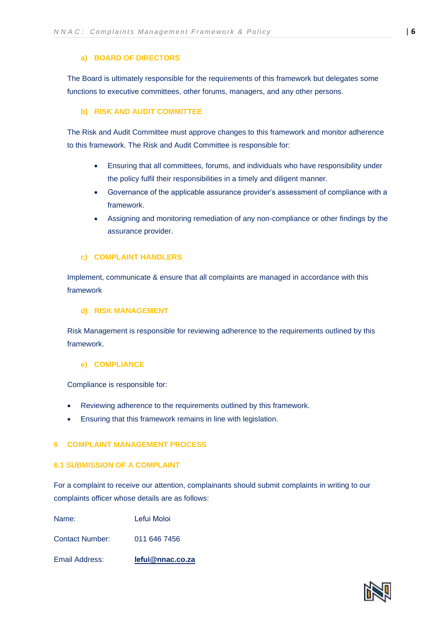#### **a) BOARD OF DIRECTORS**

The Board is ultimately responsible for the requirements of this framework but delegates some functions to executive committees, other forums, managers, and any other persons.

#### **b) RISK AND AUDIT COMMITTEE**

The Risk and Audit Committee must approve changes to this framework and monitor adherence to this framework. The Risk and Audit Committee is responsible for:

- Ensuring that all committees, forums, and individuals who have responsibility under the policy fulfil their responsibilities in a timely and diligent manner.
- Governance of the applicable assurance provider's assessment of compliance with a framework.
- Assigning and monitoring remediation of any non-compliance or other findings by the assurance provider.

#### **c) COMPLAINT HANDLERS**

Implement, communicate & ensure that all complaints are managed in accordance with this framework

#### **d) RISK MANAGEMENT**

Risk Management is responsible for reviewing adherence to the requirements outlined by this framework.

#### **e) COMPLIANCE**

Compliance is responsible for:

- Reviewing adherence to the requirements outlined by this framework.
- Ensuring that this framework remains in line with legislation.

#### **6 COMPLAINT MANAGEMENT PROCESS**

#### **6.1 SUBMISSION OF A COMPLAINT**

For a complaint to receive our attention, complainants should submit complaints in writing to our complaints officer whose details are as follows:

| Email Address:  | lefui@nnac.co.za |
|-----------------|------------------|
| Contact Number: | 011 646 7456     |
| Name:           | Lefui Moloi      |

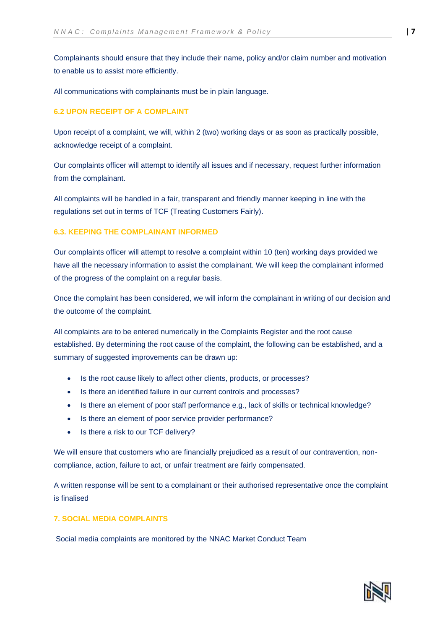Complainants should ensure that they include their name, policy and/or claim number and motivation to enable us to assist more efficiently.

All communications with complainants must be in plain language.

## **6.2 UPON RECEIPT OF A COMPLAINT**

Upon receipt of a complaint, we will, within 2 (two) working days or as soon as practically possible, acknowledge receipt of a complaint.

Our complaints officer will attempt to identify all issues and if necessary, request further information from the complainant.

All complaints will be handled in a fair, transparent and friendly manner keeping in line with the regulations set out in terms of TCF (Treating Customers Fairly).

## **6.3. KEEPING THE COMPLAINANT INFORMED**

Our complaints officer will attempt to resolve a complaint within 10 (ten) working days provided we have all the necessary information to assist the complainant. We will keep the complainant informed of the progress of the complaint on a regular basis.

Once the complaint has been considered, we will inform the complainant in writing of our decision and the outcome of the complaint.

All complaints are to be entered numerically in the Complaints Register and the root cause established. By determining the root cause of the complaint, the following can be established, and a summary of suggested improvements can be drawn up:

- Is the root cause likely to affect other clients, products, or processes?
- Is there an identified failure in our current controls and processes?
- Is there an element of poor staff performance e.g., lack of skills or technical knowledge?
- Is there an element of poor service provider performance?
- Is there a risk to our TCF delivery?

We will ensure that customers who are financially prejudiced as a result of our contravention, noncompliance, action, failure to act, or unfair treatment are fairly compensated.

A written response will be sent to a complainant or their authorised representative once the complaint is finalised

## **7. SOCIAL MEDIA COMPLAINTS**

Social media complaints are monitored by the NNAC Market Conduct Team

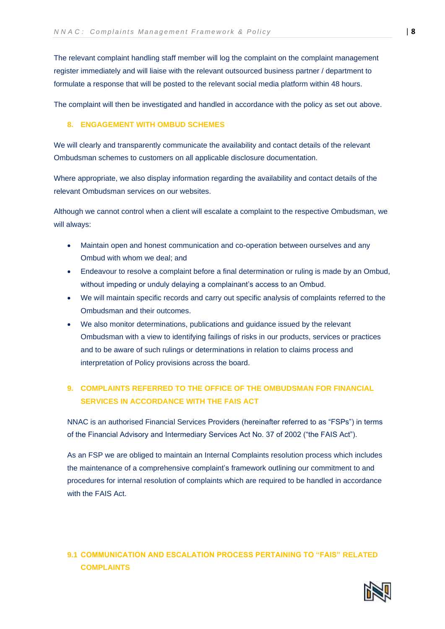The relevant complaint handling staff member will log the complaint on the complaint management register immediately and will liaise with the relevant outsourced business partner / department to formulate a response that will be posted to the relevant social media platform within 48 hours.

The complaint will then be investigated and handled in accordance with the policy as set out above.

## **8. ENGAGEMENT WITH OMBUD SCHEMES**

We will clearly and transparently communicate the availability and contact details of the relevant Ombudsman schemes to customers on all applicable disclosure documentation.

Where appropriate, we also display information regarding the availability and contact details of the relevant Ombudsman services on our websites.

Although we cannot control when a client will escalate a complaint to the respective Ombudsman, we will always:

- Maintain open and honest communication and co-operation between ourselves and any Ombud with whom we deal; and
- Endeavour to resolve a complaint before a final determination or ruling is made by an Ombud, without impeding or unduly delaying a complainant's access to an Ombud.
- We will maintain specific records and carry out specific analysis of complaints referred to the Ombudsman and their outcomes.
- We also monitor determinations, publications and guidance issued by the relevant Ombudsman with a view to identifying failings of risks in our products, services or practices and to be aware of such rulings or determinations in relation to claims process and interpretation of Policy provisions across the board.

# **9. COMPLAINTS REFERRED TO THE OFFICE OF THE OMBUDSMAN FOR FINANCIAL SERVICES IN ACCORDANCE WITH THE FAIS ACT**

NNAC is an authorised Financial Services Providers (hereinafter referred to as "FSPs") in terms of the Financial Advisory and Intermediary Services Act No. 37 of 2002 ("the FAIS Act").

As an FSP we are obliged to maintain an Internal Complaints resolution process which includes the maintenance of a comprehensive complaint's framework outlining our commitment to and procedures for internal resolution of complaints which are required to be handled in accordance with the FAIS Act.

# **9.1 COMMUNICATION AND ESCALATION PROCESS PERTAINING TO "FAIS" RELATED COMPLAINTS**

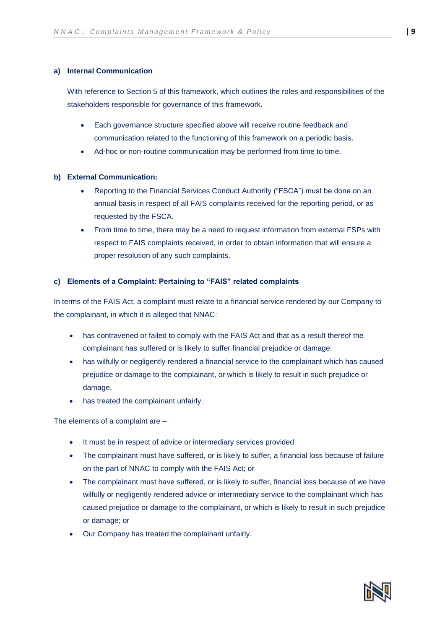## **a) Internal Communication**

With reference to Section 5 of this framework, which outlines the roles and responsibilities of the stakeholders responsible for governance of this framework.

- Each governance structure specified above will receive routine feedback and communication related to the functioning of this framework on a periodic basis.
- Ad-hoc or non-routine communication may be performed from time to time.

## **b) External Communication:**

- Reporting to the Financial Services Conduct Authority ("FSCA") must be done on an annual basis in respect of all FAIS complaints received for the reporting period, or as requested by the FSCA.
- From time to time, there may be a need to request information from external FSPs with respect to FAIS complaints received, in order to obtain information that will ensure a proper resolution of any such complaints.

## **c) Elements of a Complaint: Pertaining to "FAIS" related complaints**

In terms of the FAIS Act, a complaint must relate to a financial service rendered by our Company to the complainant, in which it is alleged that NNAC:

- has contravened or failed to comply with the FAIS Act and that as a result thereof the complainant has suffered or is likely to suffer financial prejudice or damage.
- has wilfully or negligently rendered a financial service to the complainant which has caused prejudice or damage to the complainant, or which is likely to result in such prejudice or damage.
- has treated the complainant unfairly.

The elements of a complaint are –

- It must be in respect of advice or intermediary services provided
- The complainant must have suffered, or is likely to suffer, a financial loss because of failure on the part of NNAC to comply with the FAIS Act; or
- The complainant must have suffered, or is likely to suffer, financial loss because of we have wilfully or negligently rendered advice or intermediary service to the complainant which has caused prejudice or damage to the complainant, or which is likely to result in such prejudice or damage; or
- Our Company has treated the complainant unfairly.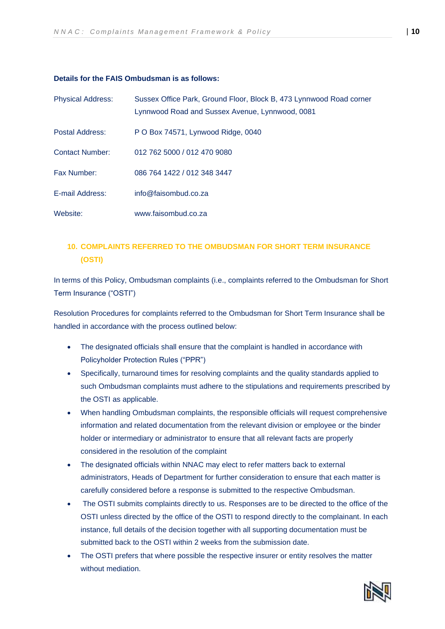#### **Details for the FAIS Ombudsman is as follows:**

| <b>Physical Address:</b> | Sussex Office Park, Ground Floor, Block B, 473 Lynnwood Road corner<br>Lynnwood Road and Sussex Avenue, Lynnwood, 0081 |
|--------------------------|------------------------------------------------------------------------------------------------------------------------|
| Postal Address:          | P O Box 74571, Lynwood Ridge, 0040                                                                                     |
| <b>Contact Number:</b>   | 012 762 5000 / 012 470 9080                                                                                            |
| Fax Number:              | 086 764 1422 / 012 348 3447                                                                                            |
| E-mail Address:          | info@faisombud.co.za                                                                                                   |
| Website:                 | www.faisombud.co.za                                                                                                    |

## **10. COMPLAINTS REFERRED TO THE OMBUDSMAN FOR SHORT TERM INSURANCE (OSTI)**

In terms of this Policy, Ombudsman complaints (i.e., complaints referred to the Ombudsman for Short Term Insurance ("OSTI")

Resolution Procedures for complaints referred to the Ombudsman for Short Term Insurance shall be handled in accordance with the process outlined below:

- The designated officials shall ensure that the complaint is handled in accordance with Policyholder Protection Rules ("PPR")
- Specifically, turnaround times for resolving complaints and the quality standards applied to such Ombudsman complaints must adhere to the stipulations and requirements prescribed by the OSTI as applicable.
- When handling Ombudsman complaints, the responsible officials will request comprehensive information and related documentation from the relevant division or employee or the binder holder or intermediary or administrator to ensure that all relevant facts are properly considered in the resolution of the complaint
- The designated officials within NNAC may elect to refer matters back to external administrators, Heads of Department for further consideration to ensure that each matter is carefully considered before a response is submitted to the respective Ombudsman.
- The OSTI submits complaints directly to us. Responses are to be directed to the office of the OSTI unless directed by the office of the OSTI to respond directly to the complainant. In each instance, full details of the decision together with all supporting documentation must be submitted back to the OSTI within 2 weeks from the submission date.
- The OSTI prefers that where possible the respective insurer or entity resolves the matter without mediation.